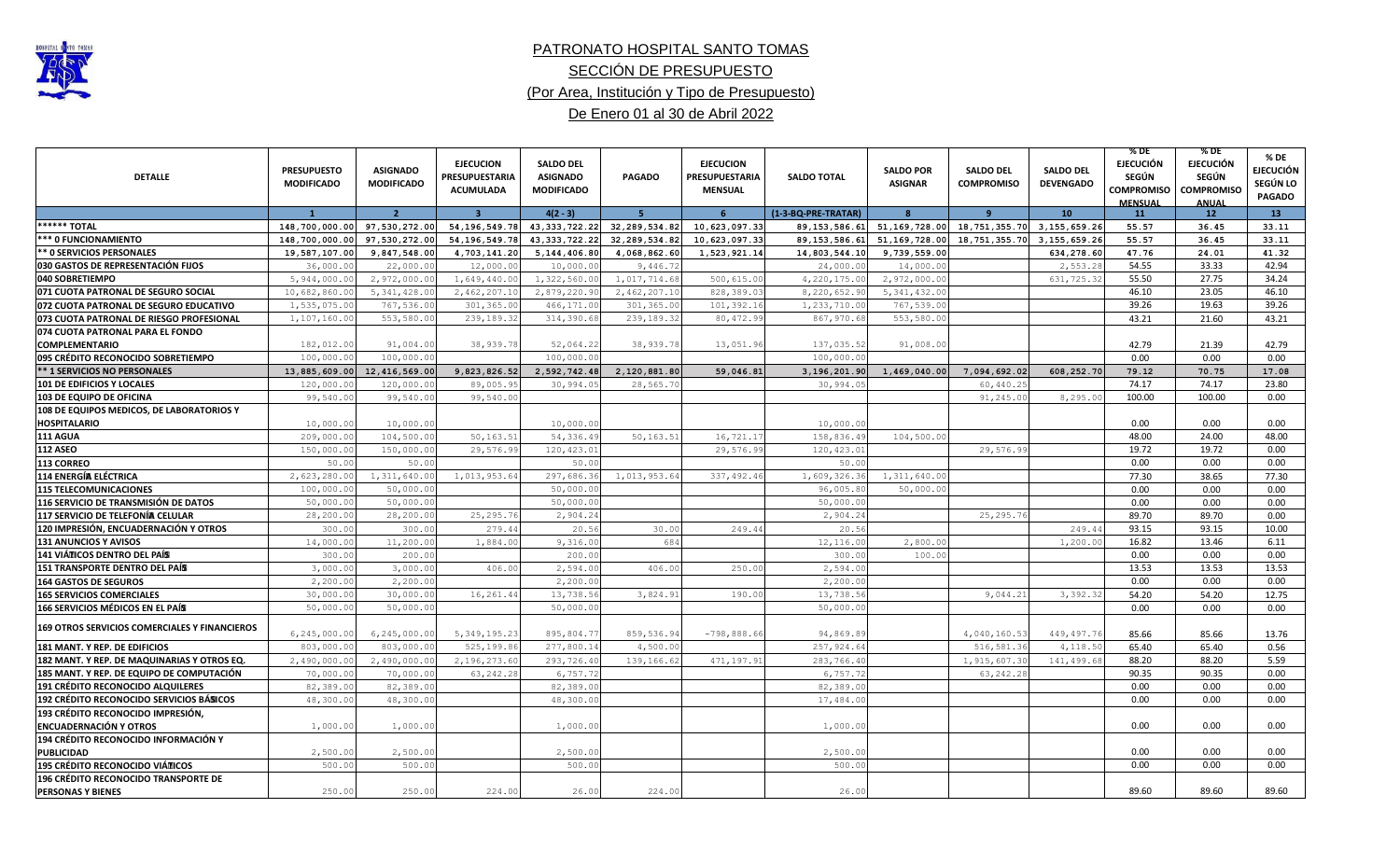

## PATRONATO HOSPITAL SANTO TOMAS (Por Area, Institución y Tipo de Presupuesto) De Enero 01 al 30 de Abril 2022 SECCIÓN DE PRESUPUESTO

|                                               |                    |                   |                         |                   |                 |                       |                     |                  |                   |                  | % DE                         | $%$ DE                           | % DE             |
|-----------------------------------------------|--------------------|-------------------|-------------------------|-------------------|-----------------|-----------------------|---------------------|------------------|-------------------|------------------|------------------------------|----------------------------------|------------------|
|                                               | <b>PRESUPUESTO</b> | <b>ASIGNADO</b>   | <b>EJECUCION</b>        | <b>SALDO DEL</b>  |                 | <b>EJECUCION</b>      |                     | <b>SALDO POR</b> | <b>SALDO DEL</b>  | <b>SALDO DEL</b> | <b>EJECUCIÓN</b>             | <b>EJECUCIÓN</b>                 | <b>EJECUCIÓN</b> |
| <b>DETALLE</b>                                | <b>MODIFICADO</b>  | <b>MODIFICADO</b> | PRESUPUESTARIA          | <b>ASIGNADO</b>   | <b>PAGADO</b>   | <b>PRESUPUESTARIA</b> | <b>SALDO TOTAL</b>  | <b>ASIGNAR</b>   | <b>COMPROMISO</b> | <b>DEVENGADO</b> | <b>SEGÚN</b>                 | SEGÚN                            | SEGÚN LO         |
|                                               |                    |                   | <b>ACUMULADA</b>        | <b>MODIFICADO</b> |                 | <b>MENSUAL</b>        |                     |                  |                   |                  | COMPROMISO<br><b>MENSUAL</b> | <b>COMPROMISO</b><br><b>ANUA</b> | <b>PAGADO</b>    |
|                                               | $\overline{1}$     | $\overline{2}$    | $\overline{\mathbf{3}}$ | $4(2 - 3)$        | -5.             | 6                     | (1-3-BQ-PRE-TRATAR) | $\mathbf{R}$     | $\mathbf{q}$      | 10               | 11                           | 12 <sub>2</sub>                  | 13               |
| ****** TOTAL                                  | 148,700,000.00     | 97,530,272.00     | 54, 196, 549. 78        | 43, 333, 722. 22  | 32, 289, 534.82 | 10,623,097.33         | 89, 153, 586.61     | 51, 169, 728.00  | 18,751,355.70     | 3, 155, 659.26   | 55.57                        | 36.45                            | 33.11            |
| *** 0 FUNCIONAMIENTO                          | 148,700,000.00     | 97,530,272.00     | 54, 196, 549. 78        | 43, 333, 722. 22  | 32, 289, 534.82 | 10,623,097.33         | 89, 153, 586.61     | 51, 169, 728.00  | 18,751,355.70     | 3, 155, 659.26   | 55.57                        | 36.45                            | 33.11            |
| ** 0 SERVICIOS PERSONALES                     | 19,587,107.00      | 9,847,548.00      | 4,703,141.20            | 5, 144, 406.80    | 4,068,862.60    | 1,523,921.14          | 14,803,544.10       | 9,739,559.00     |                   | 634,278.60       | 47.76                        | 24.01                            | 41.32            |
| 030 GASTOS DE REPRESENTACIÓN FIJOS            | 36,000.00          | 22,000.00         | 12,000.00               | 10,000.00         | 9,446.72        |                       | 24,000.00           | 14,000.00        |                   | 2,553.28         | 54.55                        | 33.33                            | 42.94            |
| 040 SOBRETIEMPO                               | 5,944,000.00       | 2,972,000.00      | 1,649,440.00            | 1,322,560.00      | 1,017,714.68    | 500, 615.0            | 4,220,175.00        | 2,972,000.00     |                   | 631,725.32       | 55.50                        | 27.75                            | 34.24            |
| 071 CUOTA PATRONAL DE SEGURO SOCIAL           | 10,682,860.00      | 5, 341, 428.00    | 2,462,207.10            | 2,879,220.90      | 2,462,207.10    | 828,389.03            | 8,220,652.90        | 5, 341, 432.00   |                   |                  | 46.10                        | 23.05                            | 46.10            |
| 072 CUOTA PATRONAL DE SEGURO EDUCATIVO        | 1,535,075.00       | 767,536.0         | 301, 365.0              | 466,171.00        | 301,365.00      | 101,392.16            | 1,233,710.00        | 767,539.00       |                   |                  | 39.26                        | 19.63                            | 39.26            |
| 073 CUOTA PATRONAL DE RIESGO PROFESIONAL      | 1,107,160.00       | 553,580.00        | 239,189.32              | 314,390.68        | 239,189.32      | 80,472.99             | 867,970.68          | 553,580.00       |                   |                  | 43.21                        | 21.60                            | 43.21            |
| 074 CUOTA PATRONAL PARA EL FONDO              |                    |                   |                         |                   |                 |                       |                     |                  |                   |                  |                              |                                  |                  |
| <b>COMPLEMENTARIO</b>                         | 182,012.00         | 91,004.00         | 38,939.78               | 52,064.22         | 38,939.78       | 13,051.96             | 137,035.52          | 91,008.0         |                   |                  | 42.79                        | 21.39                            | 42.79            |
| 095 CRÉDITO RECONOCIDO SOBRETIEMPO            | 100,000.00         | 100,000.0         |                         | 100,000.00        |                 |                       | 100,000.00          |                  |                   |                  | 0.00                         | 0.00                             | 0.00             |
| <b>** 1 SERVICIOS NO PERSONALES</b>           | 13,885,609.00      | 12,416,569.00     | 9,823,826.52            | 2,592,742.48      | 2,120,881.80    | 59,046.81             | 3,196,201.90        | 1,469,040.00     | 7,094,692.02      | 608,252.70       | 79.12                        | 70.75                            | 17.08            |
| 101 DE EDIFICIOS Y LOCALES                    | 120,000.0          | 120,000.0         | 89,005.9                | 30,994.0          | 28,565.70       |                       | 30,994.0            |                  | 60,440.2          |                  | 74.17                        | 74.17                            | 23.80            |
| 103 DE EQUIPO DE OFICINA                      | 99,540.00          | 99,540.0          | 99,540.00               |                   |                 |                       |                     |                  | 91, 245.0         | 8,295.00         | 100.00                       | 100.00                           | 0.00             |
| 108 DE EQUIPOS MEDICOS, DE LABORATORIOS Y     |                    |                   |                         |                   |                 |                       |                     |                  |                   |                  |                              |                                  |                  |
| <b>HOSPITALARIO</b>                           | 10,000.00          | 10,000.00         |                         | 10,000.01         |                 |                       | 10,000.0            |                  |                   |                  | 0.00                         | 0.00                             | 0.00             |
| <b>111 AGUA</b>                               | 209,000.00         | 104,500.0         | 50, 163.5               | 54,336.49         | 50,163.51       | 16,721.1'             | 158,836.49          | 104,500.00       |                   |                  | 48.00                        | 24.00                            | 48.00            |
| <b>112 ASEO</b>                               | 150,000.0          | 150,000.0         | 29,576.99               | 120, 423.0        |                 | 29,576.99             | 120,423.0           |                  | 29,576.99         |                  | 19.72                        | 19.72                            | 0.00             |
| 113 CORREO                                    | 50.0               | 50.0              |                         | 50.0              |                 |                       | 50.0                |                  |                   |                  | 0.00                         | 0.00                             | 0.00             |
| 114 ENERGÍA ELÉCTRICA                         | 2,623,280.00       | 1,311,640.0       | 1,013,953.64            | 297,686.3         | 1,013,953.64    | 337, 492.46           | 1,609,326.36        | 1,311,640.0      |                   |                  | 77.30                        | 38.65                            | 77.30            |
| <b>115 TELECOMUNICACIONES</b>                 | 100,000.0          | 50,000.0          |                         | 50,000.01         |                 |                       | 96,005.80           | 50,000.00        |                   |                  | 0.00                         | 0.00                             | 0.00             |
| 116 SERVICIO DE TRANSMISIÓN DE DATOS          | 50,000.00          | 50,000.0          |                         | 50,000.01         |                 |                       | 50,000.0            |                  |                   |                  | 0.00                         | 0.00                             | 0.00             |
| 117 SERVICIO DE TELEFONÍA CELULAR             | 28,200.00          | 28, 200.0         | 25, 295.76              | 2,904.2           |                 |                       | 2,904.24            |                  | 25, 295.7         |                  | 89.70                        | 89.70                            | 0.00             |
| 120 IMPRESIÓN, ENCUADERNACIÓN Y OTROS         | 300.00             | 300.0             | 279.4                   | 20.5              | 30.00           | 249.44                | 20.56               |                  |                   | 249.4            | 93.15                        | 93.15                            | 10.00            |
| 131 ANUNCIOS Y AVISOS                         | 14,000.00          | 11, 200.0         | 1,884.0                 | 9,316.0           | 684             |                       | 12,116.00           | 2,800.00         |                   | 1,200.00         | 16.82                        | 13.46                            | 6.11             |
| 141 VIÁTICOS DENTRO DEL PAÍS                  | 300.00             | 200.0             |                         | 200.01            |                 |                       | 300.00              | 100.00           |                   |                  | 0.00                         | 0.00                             | 0.00             |
| 151 TRANSPORTE DENTRO DEL PAÍS                | 3,000.00           | 3,000.0           | 406.00                  | 2,594.0           | 406.00          | 250.0                 | 2,594.00            |                  |                   |                  | 13.53                        | 13.53                            | 13.53            |
| <b>164 GASTOS DE SEGUROS</b>                  | 2,200.00           | 2,200.0           |                         | 2,200.01          |                 |                       | 2,200.00            |                  |                   |                  | 0.00                         | 0.00                             | 0.00             |
| <b>165 SERVICIOS COMERCIALES</b>              | 30,000.00          | 30,000.00         | 16,261.44               | 13,738.56         | 3,824.91        | 190.0                 | 13,738.56           |                  | 9,044.21          | 3,392.32         | 54.20                        | 54.20                            | 12.75            |
| <b>166 SERVICIOS MÉDICOS EN EL PAÍS</b>       | 50,000.00          | 50,000.0          |                         | 50,000.00         |                 |                       | 50,000.00           |                  |                   |                  | 0.00                         | 0.00                             | 0.00             |
| 169 OTROS SERVICIOS COMERCIALES Y FINANCIEROS | 6,245,000.00       | 6, 245, 000.00    | 5, 349, 195.23          | 895,804.77        | 859,536.94      | $-798,888.66$         | 94,869.89           |                  | 4,040,160.53      | 449,497.76       | 85.66                        | 85.66                            | 13.76            |
| 181 MANT. Y REP. DE EDIFICIOS                 | 803,000.00         | 803,000.00        | 525,199.86              | 277,800.14        | 4,500.00        |                       | 257,924.64          |                  | 516,581.36        | 4,118.50         | 65.40                        | 65.40                            | 0.56             |
| 182 MANT. Y REP. DE MAQUINARIAS Y OTROS EQ.   | 2,490,000.00       | 2,490,000.00      | 2,196,273.60            | 293,726.40        | 139,166.62      | 471,197.91            | 283,766.40          |                  | 1,915,607.30      | 141,499.68       | 88.20                        | 88.20                            | 5.59             |
| 185 MANT. Y REP. DE EQUIPO DE COMPUTACIÓN     | 70,000.00          | 70,000.0          | 63, 242.28              | 6,757.72          |                 |                       | 6,757.72            |                  | 63, 242.28        |                  | 90.35                        | 90.35                            | 0.00             |
| 191 CRÉDITO RECONOCIDO ALQUILERES             | 82,389.0           | 82,389.0          |                         | 82,389.00         |                 |                       | 82,389.0            |                  |                   |                  | 0.00                         | 0.00                             | 0.00             |
| 192 CRÉDITO RECONOCIDO SERVICIOS BÁSICOS      | 48,300.00          | 48,300.0          |                         | 48,300.00         |                 |                       | 17,484.0            |                  |                   |                  | 0.00                         | 0.00                             | 0.00             |
| 193 CRÉDITO RECONOCIDO IMPRESIÓN,             |                    |                   |                         |                   |                 |                       |                     |                  |                   |                  |                              |                                  |                  |
| <b>ENCUADERNACIÓN Y OTROS</b>                 | 1,000.00           | 1,000.00          |                         | 1,000.01          |                 |                       | 1,000.00            |                  |                   |                  | 0.00                         | 0.00                             | 0.00             |
| 194 CRÉDITO RECONOCIDO INFORMACIÓN Y          |                    |                   |                         |                   |                 |                       |                     |                  |                   |                  |                              |                                  |                  |
| <b>PUBLICIDAD</b>                             | 2,500.00           | 2,500.00          |                         | 2,500.00          |                 |                       | 2,500.00            |                  |                   |                  | 0.00                         | 0.00                             | 0.00             |
| 195 CRÉDITO RECONOCIDO VIÁTICOS               | 500.0              | 500.0             |                         | 500.00            |                 |                       | 500.00              |                  |                   |                  | 0.00                         | 0.00                             | 0.00             |
| 196 CRÉDITO RECONOCIDO TRANSPORTE DE          |                    |                   |                         |                   |                 |                       |                     |                  |                   |                  |                              |                                  |                  |
| <b>PERSONAS Y BIENES</b>                      | 250.00             | 250.00            | 224.00                  | 26.00             | 224.00          |                       | 26.00               |                  |                   |                  | 89.60                        | 89.60                            | 89.60            |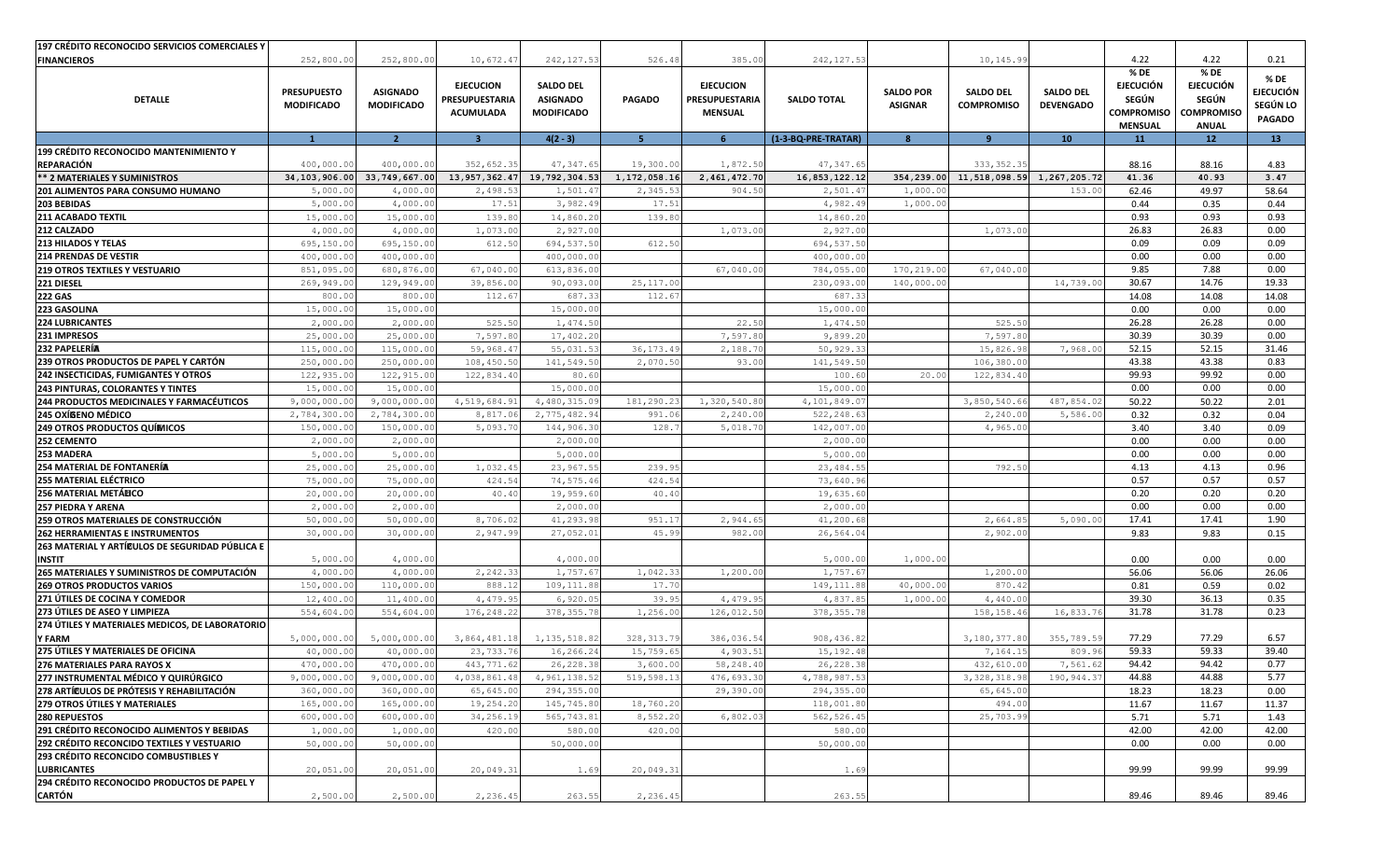| <b>197 CRÉDITO RECONOCIDO SERVICIOS COMERCIALES Y</b>                          |                           |                         |                  |                          |               |                  |                             |                  |                            |                  |                          |                                 |                          |
|--------------------------------------------------------------------------------|---------------------------|-------------------------|------------------|--------------------------|---------------|------------------|-----------------------------|------------------|----------------------------|------------------|--------------------------|---------------------------------|--------------------------|
| <b>FINANCIEROS</b>                                                             | 252,800.00                | 252,800.00              | 10,672.4'        | 242, 127.53              | 526.48        | 385.00           | 242, 127.53                 |                  | 10,145.99                  |                  | 4.22                     | 4.22                            | 0.21                     |
|                                                                                | <b>PRESUPUESTO</b>        | <b>ASIGNADO</b>         | <b>EJECUCION</b> | <b>SALDO DEL</b>         |               | <b>EJECUCION</b> |                             | <b>SALDO POR</b> | <b>SALDO DEL</b>           | <b>SALDO DEL</b> | % DE<br><b>EJECUCIÓN</b> | % DE<br><b>EJECUCIÓN</b>        | % DE<br><b>EJECUCIÓN</b> |
| <b>DETALLE</b>                                                                 | <b>MODIFICADO</b>         | <b>MODIFICADO</b>       | PRESUPUESTARIA   | <b>ASIGNADO</b>          | <b>PAGADO</b> | PRESUPUESTARIA   | <b>SALDO TOTAL</b>          | <b>ASIGNAR</b>   | <b>COMPROMISO</b>          | <b>DEVENGADO</b> | SEGÚN                    | SEGÚN                           | SEGÚN LO                 |
|                                                                                |                           |                         | ACUMULADA        | <b>MODIFICADO</b>        |               | <b>MENSUAL</b>   |                             |                  |                            |                  | COMPROMISO               | <b>COMPROMISO</b>               | <b>PAGADO</b>            |
|                                                                                | $\mathbf{1}$              | $\overline{2}$          | $\mathbf{B}$     | $4(2-3)$                 | 5             | 6                | (1-3-BQ-PRE-TRATAR)         | 8                | 9                          | 10 <sup>°</sup>  | <b>MENSUAL</b><br>11     | <b>ANUAL</b><br>12 <sup>2</sup> | 13                       |
| <b>199 CRÉDITO RECONOCIDO MANTENIMIENTO Y</b>                                  |                           |                         |                  |                          |               |                  |                             |                  |                            |                  |                          |                                 |                          |
| <b>REPARACIÓN</b>                                                              | 400,000.0                 | 400,000.0               | 352,652.35       | 47, 347.65               | 19,300.00     | 1,872.50         | 47,347.65                   |                  | 333, 352.35                |                  | 88.16                    | 88.16                           | 4.83                     |
| ** 2 MATERIALES Y SUMINISTROS                                                  | 34, 103, 906.00           | 33,749,667.00           | 13,957,362.47    | 19,792,304.53            | 1,172,058.16  | 2,461,472.70     | 16,853,122.12               | 354,239.00       | 11,518,098.59 1,267,205.72 |                  | 41.36                    | 40.93                           | 3.47                     |
| 201 ALIMENTOS PARA CONSUMO HUMANO                                              | 5,000.0                   | 4,000.0                 | 2,498.5          | 1,501.4                  | 2,345.53      | 904.50           | 2,501.47                    | 1,000.0          |                            | 153.00           | 62.46                    | 49.97                           | 58.64                    |
| 203 BEBIDAS                                                                    | 5,000.00                  | 4,000.0                 | 17.51            | 3,982.4                  | 17.51         |                  | 4,982.49                    | 1,000.00         |                            |                  | 0.44                     | 0.35                            | 0.44                     |
| 211 ACABADO TEXTIL                                                             | 15,000.00                 | 15,000.00               | 139.80           | 14,860.20                | 139.80        |                  | 14,860.20                   |                  |                            |                  | 0.93                     | 0.93                            | 0.93                     |
| 212 CALZADO                                                                    | 4,000.00                  | 4,000.0                 | 1,073.00         | 2,927.00                 |               | 1,073.0          | 2,927.00                    |                  | 1,073.00                   |                  | 26.83                    | 26.83                           | 0.00                     |
| 213 HILADOS Y TELAS                                                            | 695,150.0                 | 695,150.0               | 612.50           | 694, 537.5               | 612.50        |                  | 694,537.50                  |                  |                            |                  | 0.09                     | 0.09                            | 0.09                     |
| <b>214 PRENDAS DE VESTIR</b>                                                   | 400,000.0                 | 400,000.0               |                  | 400,000.0                |               |                  | 400,000.00                  |                  |                            |                  | 0.00                     | 0.00                            | 0.00                     |
| <b>219 OTROS TEXTILES Y VESTUARIO</b>                                          | 851,095.0                 | 680,876.0               | 67,040.00        | 613,836.0                |               | 67,040.0         | 784,055.00                  | 170,219.0        | 67,040.00                  |                  | 9.85                     | 7.88                            | 0.00                     |
| 221 DIESEL                                                                     | 269,949.00                | 129,949.0               | 39,856.0         | 90,093.0                 | 25,117.00     |                  | 230,093.00                  | 140,000.0        |                            | 14,739.0         | 30.67                    | 14.76                           | 19.33                    |
| <b>222 GAS</b>                                                                 | 800.00                    | 800.0                   | 112.6            | 687.33                   | 112.6         |                  | 687.33                      |                  |                            |                  | 14.08                    | 14.08                           | 14.08                    |
| 223 GASOLINA                                                                   | 15,000.00                 | 15,000.0                |                  | 15,000.0                 |               |                  | 15,000.00                   |                  |                            |                  | 0.00                     | 0.00                            | 0.00                     |
| <b>224 LUBRICANTES</b>                                                         | 2,000.00                  | 2,000.0                 | 525.50           | 1,474.5                  |               | 22.50            | 1,474.50                    |                  | 525.50                     |                  | 26.28                    | 26.28                           | 0.00                     |
| 231 IMPRESOS                                                                   | 25,000.0                  | 25,000.0                | 7,597.80         | 17,402.2                 |               | 7,597.8          | 9,899.20                    |                  | 7,597.8                    |                  | 30.39                    | 30.39                           | 0.00                     |
| <b>232 PAPELERÍA</b>                                                           | 115,000.00                | 115,000.0               | 59,968.47        | 55,031.53                | 36, 173.49    | 2,188.7          | 50,929.33                   |                  | 15,826.98                  | 7,968.00         | 52.15                    | 52.15                           | 31.46                    |
| 239 OTROS PRODUCTOS DE PAPEL Y CARTÓN                                          | 250,000.00                | 250,000.0               | 108,450.50       | 141,549.5                | 2,070.50      | 93.00            | 141,549.50                  |                  | 106, 380.0                 |                  | 43.38                    | 43.38                           | 0.83                     |
| 242 INSECTICIDAS, FUMIGANTES Y OTROS                                           | 122,935.00                | 122,915.0               | 122,834.40       | 80.60                    |               |                  | 100.60                      | 20.00            | 122,834.40                 |                  | 99.93<br>0.00            | 99.92<br>0.00                   | 0.00<br>0.00             |
| 243 PINTURAS, COLORANTES Y TINTES<br>244 PRODUCTOS MEDICINALES Y FARMACÉUTICOS | 15,000.00<br>9,000,000.00 | 15,000.0<br>9,000,000.0 | 4,519,684.93     | 15,000.0<br>4,480,315.09 | 181,290.23    | 1,320,540.8      | 15,000.00                   |                  | 3,850,540.66               | 487,854.02       | 50.22                    | 50.22                           | 2.01                     |
| 245 OXÍGENO MÉDICO                                                             | 2,784,300.0               | 2,784,300.0             | 8,817.0          | 2,775,482.9              | 991.0         | 2,240.0          | 4,101,849.07<br>522, 248.63 |                  | 2,240.0                    | 5,586.0          | 0.32                     | 0.32                            | 0.04                     |
| <b>249 OTROS PRODUCTOS QUÍMICOS</b>                                            | 150,000.00                | 150,000.0               | 5,093.70         | 144,906.3                | 128.7         | 5,018.7          | 142,007.00                  |                  | 4,965.00                   |                  | 3.40                     | 3.40                            | 0.09                     |
| 252 CEMENTO                                                                    | 2,000.00                  | 2,000.0                 |                  | 2,000.0                  |               |                  | 2,000.00                    |                  |                            |                  | 0.00                     | 0.00                            | 0.00                     |
| 253 MADERA                                                                     | 5,000.00                  | 5,000.0                 |                  | 5,000.0                  |               |                  | 5,000.00                    |                  |                            |                  | 0.00                     | 0.00                            | 0.00                     |
| <b>254 MATERIAL DE FONTANERÍA</b>                                              | 25,000.00                 | 25,000.00               | 1,032.45         | 23, 967.55               | 239.95        |                  | 23, 484.55                  |                  | 792.50                     |                  | 4.13                     | 4.13                            | 0.96                     |
| 255 MATERIAL ELÉCTRICO                                                         | 75,000.00                 | 75,000.0                | 424.54           | 74,575.46                | 424.54        |                  | 73,640.96                   |                  |                            |                  | 0.57                     | 0.57                            | 0.57                     |
| 256 MATERIAL METÁLICO                                                          | 20,000.0                  | 20,000.0                | 40.40            | 19,959.6                 | 40.40         |                  | 19,635.60                   |                  |                            |                  | 0.20                     | 0.20                            | 0.20                     |
| 257 PIEDRA Y ARENA                                                             | 2,000.00                  | 2,000.0                 |                  | 2,000.0                  |               |                  | 2,000.00                    |                  |                            |                  | 0.00                     | 0.00                            | 0.00                     |
| 259 OTROS MATERIALES DE CONSTRUCCIÓN                                           | 50,000.00                 | 50,000.0                | 8,706.02         | 41,293.9                 | 951.17        | 2,944.6          | 41,200.68                   |                  | 2,664.85                   | 5,090.0          | 17.41                    | 17.41                           | 1.90                     |
| 262 HERRAMIENTAS E INSTRUMENTOS                                                | 30,000.00                 | 30,000.0                | 2,947.99         | 27,052.0                 | 45.99         | 982.0            | 26,564.04                   |                  | 2,902.00                   |                  | 9.83                     | 9.83                            | 0.15                     |
| 263 MATERIAL Y ARTÍ€ULOS DE SEGURIDAD PÚBLICA E                                |                           |                         |                  |                          |               |                  |                             |                  |                            |                  |                          |                                 |                          |
| <b>INSTIT</b>                                                                  | 5,000.0                   | 4,000.0                 |                  | 4,000.00                 |               |                  | 5,000.00                    | 1,000.00         |                            |                  | 0.00                     | 0.00                            | 0.00                     |
| 265 MATERIALES Y SUMINISTROS DE COMPUTACIÓN                                    | 4,000.00                  | 4,000.0                 | 2,242.33         | 1,757.6                  | 1,042.33      | 1,200.00         | 1,757.67                    |                  | 1,200.00                   |                  | 56.06                    | 56.06                           | 26.06                    |
| <b>269 OTROS PRODUCTOS VARIOS</b>                                              | 150,000.0                 | 110,000.0               | 888.12           | 109,111.8                | 17.70         |                  | 149, 111.88                 | 40,000.0         | 870.42                     |                  | 0.81                     | 0.59                            | 0.02                     |
| 271 ÚTILES DE COCINA Y COMEDOR                                                 | 12,400.00                 | 11,400.0                | 4,479.95         | 6,920.0                  | 39.95         | 4,479.95         | 4,837.85                    | 1,000.0          | 4,440.0(                   |                  | 39.30                    | 36.13                           | 0.35                     |
| 273 ÚTILES DE ASEO Y LIMPIEZA                                                  | 554,604.00                | 554,604.0               | 176,248.22       | 378, 355.7               | 1,256.00      | 126,012.5        | 378, 355.78                 |                  | 158,158.46                 | 16,833.7         | 31.78                    | 31.78                           | 0.23                     |
| 274 ÚTILES Y MATERIALES MEDICOS, DE LABORATORIO                                |                           |                         |                  |                          |               |                  |                             |                  |                            |                  |                          |                                 |                          |
| Y FARM                                                                         | 5,000,000.00              | 5,000,000.0             | 3,864,481.18     | 1, 135, 518.82           | 328, 313.79   | 386,036.54       | 908, 436.82                 |                  | 3,180,377.80               | 355,789.59       | 77.29                    | 77.29                           | 6.57                     |
| 275 ÚTILES Y MATERIALES DE OFICINA                                             | 40,000.00                 | 40,000.00               | 23,733.76        | 16,266.24                | 15,759.65     | 4,903.5          | 15, 192.48                  |                  | 7,164.15                   | 809.96           | 59.33                    | 59.33                           | 39.40                    |
| 276 MATERIALES PARA RAYOS X                                                    | 470,000.00                | 470,000.00              | 443,771.62       | 26, 228.38               | 3,600.00      | 58,248.40        | 26, 228.38                  |                  | 432,610.00                 | 7,561.62         | 94.42                    | 94.42                           | 0.77                     |
| 277 INSTRUMENTAL MÉDICO Y QUIRÚRGICO                                           | 9,000,000.00              | 9,000,000.00            | 4,038,861.48     | 4,961,138.52             | 519,598.13    | 476,693.30       | 4,788,987.53                |                  | 3, 328, 318.98             | 190,944.37       | 44.88                    | 44.88                           | 5.77                     |
| 278 ARTÍCULOS DE PRÓTESIS Y REHABILITACIÓN                                     | 360,000.00                | 360,000.00              | 65,645.00        | 294,355.00               |               | 29,390.00        | 294,355.00                  |                  | 65,645.00                  |                  | 18.23                    | 18.23                           | 0.00                     |
| 279 OTROS ÚTILES Y MATERIALES                                                  | 165,000.00                | 165,000.00              | 19,254.20        | 145,745.80               | 18,760.20     |                  | 118,001.80                  |                  | 494.00                     |                  | 11.67                    | 11.67                           | 11.37                    |
| 280 REPUESTOS                                                                  | 600,000.00                | 600,000.00              | 34,256.19        | 565,743.81               | 8,552.20      | 6,802.03         | 562, 526.45                 |                  | 25,703.99                  |                  | 5.71                     | 5.71                            | 1.43                     |
| 291 CRÉDITO RECONOCIDO ALIMENTOS Y BEBIDAS                                     | 1,000.00                  | 1,000.00                | 420.00           | 580.00                   | 420.00        |                  | 580.00                      |                  |                            |                  | 42.00                    | 42.00                           | 42.00                    |
| 292 CRÉDITO RECONCIDO TEXTILES Y VESTUARIO                                     | 50,000.00                 | 50,000.00               |                  | 50,000.00                |               |                  | 50,000.00                   |                  |                            |                  | 0.00                     | 0.00                            | 0.00                     |
| 293 CRÉDITO RECONCIDO COMBUSTIBLES Y                                           |                           |                         |                  |                          |               |                  |                             |                  |                            |                  |                          |                                 |                          |
| <b>LUBRICANTES</b>                                                             | 20,051.00                 | 20,051.00               | 20,049.31        | 1.69                     | 20,049.31     |                  | 1.69                        |                  |                            |                  | 99.99                    | 99.99                           | 99.99                    |
| 294 CRÉDITO RECONOCIDO PRODUCTOS DE PAPEL Y                                    |                           |                         |                  |                          |               |                  |                             |                  |                            |                  |                          |                                 |                          |
| <b>CARTÓN</b>                                                                  | 2,500.00                  | 2,500.00                | 2,236.45         | 263.55                   | 2,236.45      |                  | 263.55                      |                  |                            |                  | 89.46                    | 89.46                           | 89.46                    |